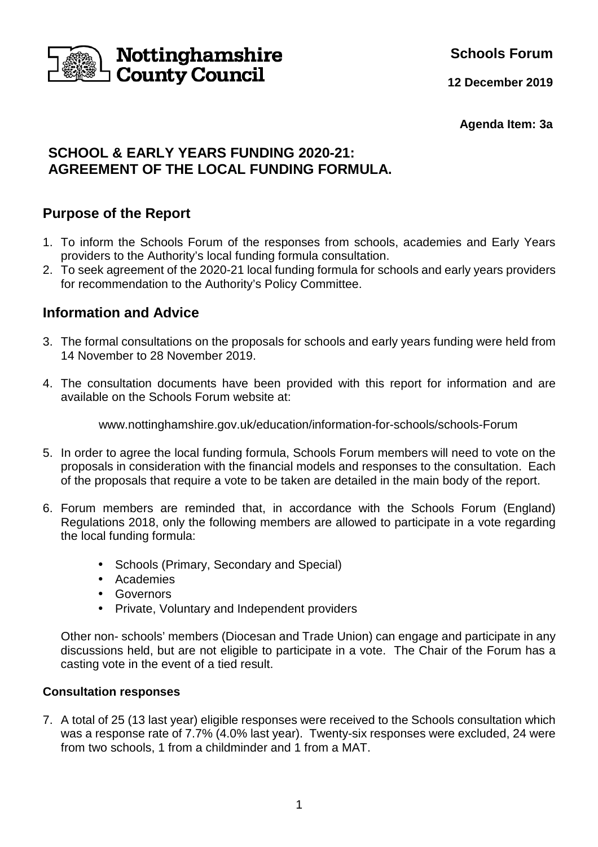

**Schools Forum**

**12 December 2019**

**Agenda Item: 3a** 

# **SCHOOL & EARLY YEARS FUNDING 2020-21: AGREEMENT OF THE LOCAL FUNDING FORMULA.**

# **Purpose of the Report**

- 1. To inform the Schools Forum of the responses from schools, academies and Early Years providers to the Authority's local funding formula consultation.
- 2. To seek agreement of the 2020-21 local funding formula for schools and early years providers for recommendation to the Authority's Policy Committee.

# **Information and Advice**

- 3. The formal consultations on the proposals for schools and early years funding were held from 14 November to 28 November 2019.
- 4. The consultation documents have been provided with this report for information and are available on the Schools Forum website at:

www.nottinghamshire.gov.uk/education/information-for-schools/schools-Forum

- 5. In order to agree the local funding formula, Schools Forum members will need to vote on the proposals in consideration with the financial models and responses to the consultation. Each of the proposals that require a vote to be taken are detailed in the main body of the report.
- 6. Forum members are reminded that, in accordance with the Schools Forum (England) Regulations 2018, only the following members are allowed to participate in a vote regarding the local funding formula:
	- Schools (Primary, Secondary and Special)
	- Academies
	- Governors
	- Private, Voluntary and Independent providers

 Other non- schools' members (Diocesan and Trade Union) can engage and participate in any discussions held, but are not eligible to participate in a vote. The Chair of the Forum has a casting vote in the event of a tied result.

## **Consultation responses**

7. A total of 25 (13 last year) eligible responses were received to the Schools consultation which was a response rate of 7.7% (4.0% last year). Twenty-six responses were excluded, 24 were from two schools, 1 from a childminder and 1 from a MAT.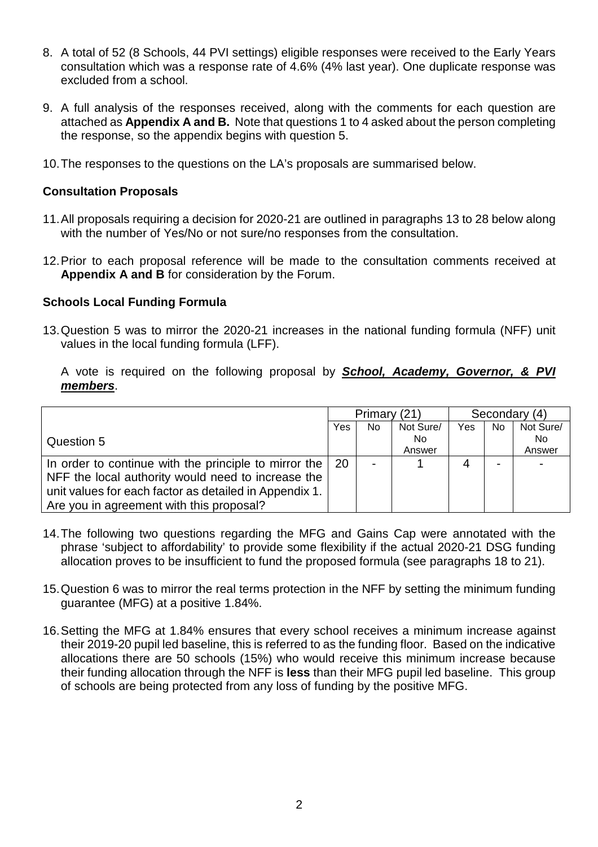- 8. A total of 52 (8 Schools, 44 PVI settings) eligible responses were received to the Early Years consultation which was a response rate of 4.6% (4% last year). One duplicate response was excluded from a school.
- 9. A full analysis of the responses received, along with the comments for each question are attached as **Appendix A and B.** Note that questions 1 to 4 asked about the person completing the response, so the appendix begins with question 5.
- 10. The responses to the questions on the LA's proposals are summarised below.

#### **Consultation Proposals**

- 11. All proposals requiring a decision for 2020-21 are outlined in paragraphs 13 to 28 below along with the number of Yes/No or not sure/no responses from the consultation.
- 12. Prior to each proposal reference will be made to the consultation comments received at **Appendix A and B** for consideration by the Forum.

#### **Schools Local Funding Formula**

13. Question 5 was to mirror the 2020-21 increases in the national funding formula (NFF) unit values in the local funding formula (LFF).

A vote is required on the following proposal by **School, Academy, Governor, & PVI members**.

|                                                        | Primary (21) |     |           |     | Secondary (4)            |           |
|--------------------------------------------------------|--------------|-----|-----------|-----|--------------------------|-----------|
|                                                        | Yes          | No. | Not Sure/ | Yes | No.                      | Not Sure/ |
| Question 5                                             |              |     | No.       |     |                          | No.       |
|                                                        |              |     | Answer    |     |                          | Answer    |
| In order to continue with the principle to mirror the  | 20           |     |           | Δ   | $\overline{\phantom{0}}$ |           |
| NFF the local authority would need to increase the     |              |     |           |     |                          |           |
| unit values for each factor as detailed in Appendix 1. |              |     |           |     |                          |           |
| Are you in agreement with this proposal?               |              |     |           |     |                          |           |

- 14. The following two questions regarding the MFG and Gains Cap were annotated with the phrase 'subject to affordability' to provide some flexibility if the actual 2020-21 DSG funding allocation proves to be insufficient to fund the proposed formula (see paragraphs 18 to 21).
- 15. Question 6 was to mirror the real terms protection in the NFF by setting the minimum funding guarantee (MFG) at a positive 1.84%.
- 16. Setting the MFG at 1.84% ensures that every school receives a minimum increase against their 2019-20 pupil led baseline, this is referred to as the funding floor. Based on the indicative allocations there are 50 schools (15%) who would receive this minimum increase because their funding allocation through the NFF is **less** than their MFG pupil led baseline. This group of schools are being protected from any loss of funding by the positive MFG.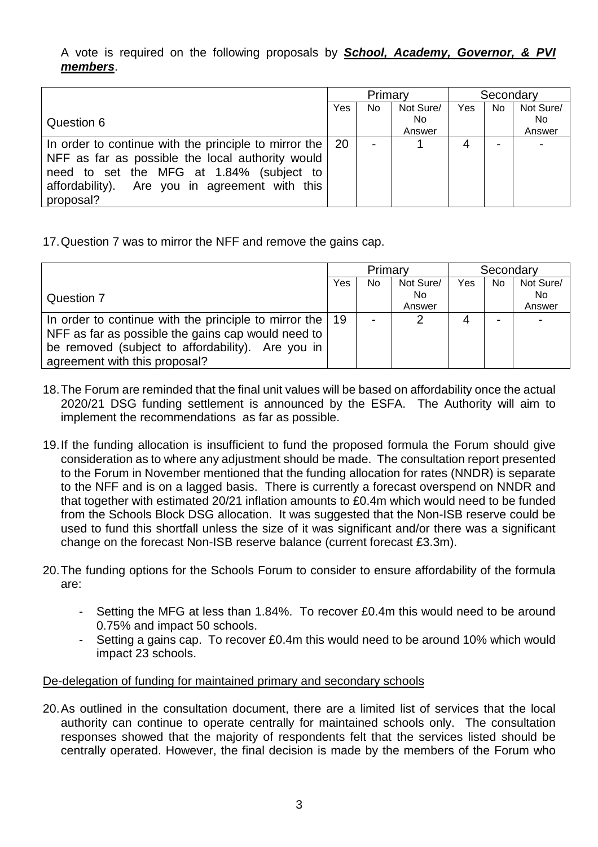A vote is required on the following proposals by **School, Academy, Governor, & PVI members**.

|                                                                  | Primary |    |           |     | Secondary |           |
|------------------------------------------------------------------|---------|----|-----------|-----|-----------|-----------|
|                                                                  | Yes     | No | Not Sure/ | Yes | No.       | Not Sure/ |
| Question 6                                                       |         |    | No.       |     |           | No.       |
|                                                                  |         |    | Answer    |     |           | Answer    |
| In order to continue with the principle to mirror the $\vert$ 20 |         |    |           |     |           |           |
| NFF as far as possible the local authority would                 |         |    |           |     |           |           |
| need to set the MFG at 1.84% (subject to                         |         |    |           |     |           |           |
| affordability). Are you in agreement with this                   |         |    |           |     |           |           |
| proposal?                                                        |         |    |           |     |           |           |

17. Question 7 was to mirror the NFF and remove the gains cap.

|                                                       | Primary |     |           | Secondary |                          |           |
|-------------------------------------------------------|---------|-----|-----------|-----------|--------------------------|-----------|
|                                                       | Yes     | No. | Not Sure/ | Yes       | No                       | Not Sure/ |
| Question 7                                            |         |     | No.       |           |                          | No.       |
|                                                       |         |     | Answer    |           |                          | Answer    |
| In order to continue with the principle to mirror the | 19      |     |           |           | $\overline{\phantom{0}}$ |           |
| NFF as far as possible the gains cap would need to    |         |     |           |           |                          |           |
| be removed (subject to affordability). Are you in     |         |     |           |           |                          |           |
| agreement with this proposal?                         |         |     |           |           |                          |           |

- 18. The Forum are reminded that the final unit values will be based on affordability once the actual 2020/21 DSG funding settlement is announced by the ESFA. The Authority will aim to implement the recommendations as far as possible.
- 19. If the funding allocation is insufficient to fund the proposed formula the Forum should give consideration as to where any adjustment should be made. The consultation report presented to the Forum in November mentioned that the funding allocation for rates (NNDR) is separate to the NFF and is on a lagged basis. There is currently a forecast overspend on NNDR and that together with estimated 20/21 inflation amounts to £0.4m which would need to be funded from the Schools Block DSG allocation. It was suggested that the Non-ISB reserve could be used to fund this shortfall unless the size of it was significant and/or there was a significant change on the forecast Non-ISB reserve balance (current forecast £3.3m).
- 20. The funding options for the Schools Forum to consider to ensure affordability of the formula are:
	- Setting the MFG at less than 1.84%. To recover £0.4m this would need to be around 0.75% and impact 50 schools.
	- Setting a gains cap. To recover £0.4m this would need to be around 10% which would impact 23 schools.

De-delegation of funding for maintained primary and secondary schools

20. As outlined in the consultation document, there are a limited list of services that the local authority can continue to operate centrally for maintained schools only. The consultation responses showed that the majority of respondents felt that the services listed should be centrally operated. However, the final decision is made by the members of the Forum who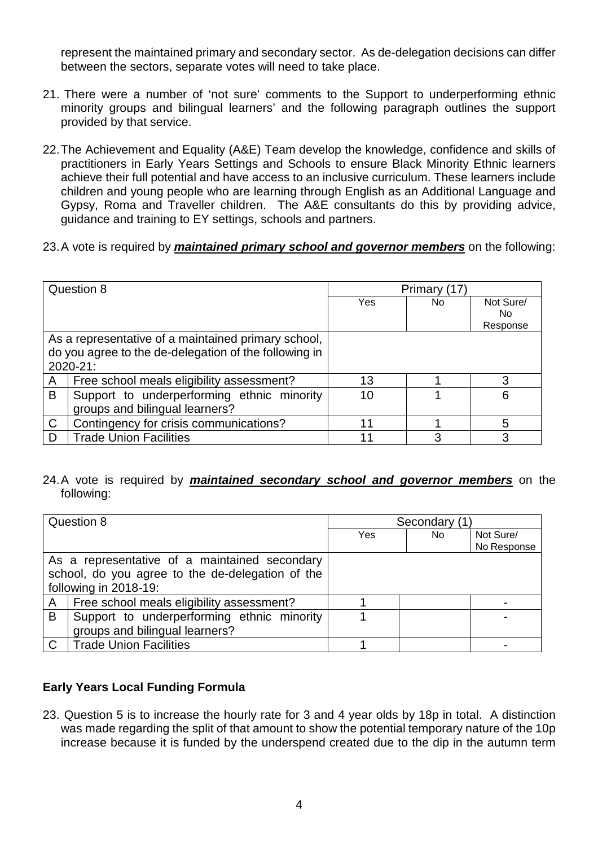represent the maintained primary and secondary sector. As de-delegation decisions can differ between the sectors, separate votes will need to take place.

- 21. There were a number of 'not sure' comments to the Support to underperforming ethnic minority groups and bilingual learners' and the following paragraph outlines the support provided by that service.
- 22. The Achievement and Equality (A&E) Team develop the knowledge, confidence and skills of practitioners in Early Years Settings and Schools to ensure Black Minority Ethnic learners achieve their full potential and have access to an inclusive curriculum. These learners include children and young people who are learning through English as an Additional Language and Gypsy, Roma and Traveller children. The A&E consultants do this by providing advice, guidance and training to EY settings, schools and partners.
- 23. A vote is required by **maintained primary school and governor members** on the following:

|              | Question 8                                            | Primary (17) |     |           |  |
|--------------|-------------------------------------------------------|--------------|-----|-----------|--|
|              |                                                       | Yes          | No. | Not Sure/ |  |
|              |                                                       |              |     | No.       |  |
|              |                                                       |              |     | Response  |  |
|              | As a representative of a maintained primary school,   |              |     |           |  |
|              | do you agree to the de-delegation of the following in |              |     |           |  |
|              | $2020 - 21$ :                                         |              |     |           |  |
| A            | Free school meals eligibility assessment?             | 13           |     | 3         |  |
| B            | Support to underperforming ethnic minority            | 10           |     | 6         |  |
|              | groups and bilingual learners?                        |              |     |           |  |
| $\mathsf{C}$ | Contingency for crisis communications?                | 11           |     | 5         |  |
| D            | <b>Trade Union Facilities</b>                         | 11           |     |           |  |

24. A vote is required by **maintained secondary school and governor members** on the following:

|             | Question 8                                       | Secondary (1) |     |             |  |
|-------------|--------------------------------------------------|---------------|-----|-------------|--|
|             |                                                  | Yes           | No. | Not Sure/   |  |
|             |                                                  |               |     | No Response |  |
|             | As a representative of a maintained secondary    |               |     |             |  |
|             | school, do you agree to the de-delegation of the |               |     |             |  |
|             | following in 2018-19:                            |               |     |             |  |
| A           | Free school meals eligibility assessment?        |               |     |             |  |
| B           | Support to underperforming ethnic minority       |               |     |             |  |
|             | groups and bilingual learners?                   |               |     |             |  |
| $\mathbf C$ | <b>Trade Union Facilities</b>                    |               |     |             |  |

## **Early Years Local Funding Formula**

23. Question 5 is to increase the hourly rate for 3 and 4 year olds by 18p in total. A distinction was made regarding the split of that amount to show the potential temporary nature of the 10p increase because it is funded by the underspend created due to the dip in the autumn term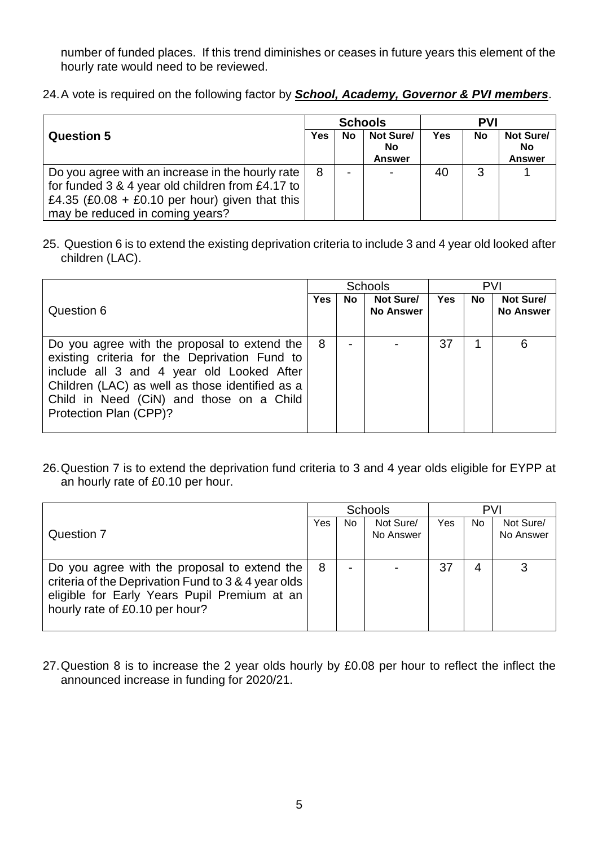number of funded places. If this trend diminishes or ceases in future years this element of the hourly rate would need to be reviewed.

24. A vote is required on the following factor by **School, Academy, Governor & PVI members**.

|                                                  | <b>Schools</b> |                          |                                  | <b>PVI</b> |    |                                         |
|--------------------------------------------------|----------------|--------------------------|----------------------------------|------------|----|-----------------------------------------|
| <b>Question 5</b>                                | Yes            | <b>No</b>                | Not Sure/<br>No<br><b>Answer</b> | Yes        | No | Not Sure/<br><b>No</b><br><b>Answer</b> |
| Do you agree with an increase in the hourly rate | 8              | $\overline{\phantom{0}}$ | $\overline{\phantom{0}}$         | 40         | 3  |                                         |
| for funded 3 & 4 year old children from £4.17 to |                |                          |                                  |            |    |                                         |
| £4.35 (£0.08 + £0.10 per hour) given that this   |                |                          |                                  |            |    |                                         |
| may be reduced in coming years?                  |                |                          |                                  |            |    |                                         |

25. Question 6 is to extend the existing deprivation criteria to include 3 and 4 year old looked after children (LAC).

|                                                                                                                                                                                                                                                                     | <b>Schools</b> |    |                               | <b>PVI</b> |      |                               |
|---------------------------------------------------------------------------------------------------------------------------------------------------------------------------------------------------------------------------------------------------------------------|----------------|----|-------------------------------|------------|------|-------------------------------|
| Question 6                                                                                                                                                                                                                                                          | <b>Yes</b>     | No | Not Sure/<br><b>No Answer</b> | Yes        | No l | Not Sure/<br><b>No Answer</b> |
| Do you agree with the proposal to extend the<br>existing criteria for the Deprivation Fund to<br>include all 3 and 4 year old Looked After<br>Children (LAC) as well as those identified as a<br>Child in Need (CiN) and those on a Child<br>Protection Plan (CPP)? | 8              |    |                               | 37         | 1    | 6                             |

26. Question 7 is to extend the deprivation fund criteria to 3 and 4 year olds eligible for EYPP at an hourly rate of £0.10 per hour.

|                                                                                                                                                                                       | Schools |     |                        | <b>PVI</b> |     |                        |
|---------------------------------------------------------------------------------------------------------------------------------------------------------------------------------------|---------|-----|------------------------|------------|-----|------------------------|
| <b>Question 7</b>                                                                                                                                                                     | Yes     | No. | Not Sure/<br>No Answer | Yes        | No. | Not Sure/<br>No Answer |
| Do you agree with the proposal to extend the<br>criteria of the Deprivation Fund to 3 & 4 year olds<br>eligible for Early Years Pupil Premium at an<br>hourly rate of £0.10 per hour? | 8       | -   |                        | 37         | 4   | 3                      |

27. Question 8 is to increase the 2 year olds hourly by £0.08 per hour to reflect the inflect the announced increase in funding for 2020/21.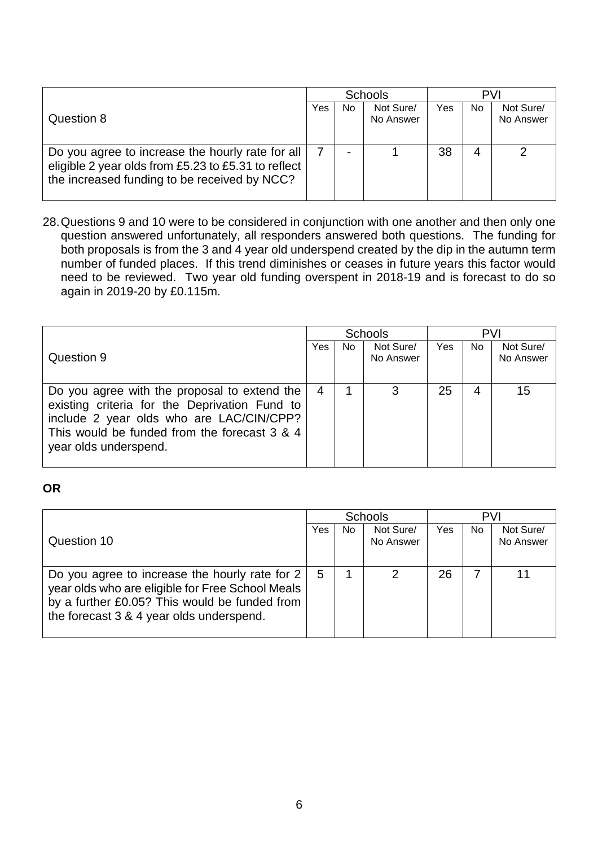|                                                                                                                                                         | <b>Schools</b> |     |                        | <b>PVI</b> |    |                        |
|---------------------------------------------------------------------------------------------------------------------------------------------------------|----------------|-----|------------------------|------------|----|------------------------|
| Question 8                                                                                                                                              | Yes            | No. | Not Sure/<br>No Answer | Yes        | No | Not Sure/<br>No Answer |
| Do you agree to increase the hourly rate for all<br>eligible 2 year olds from £5.23 to £5.31 to reflect<br>the increased funding to be received by NCC? |                | -   |                        | 38         | 4  |                        |

28. Questions 9 and 10 were to be considered in conjunction with one another and then only one question answered unfortunately, all responders answered both questions. The funding for both proposals is from the 3 and 4 year old underspend created by the dip in the autumn term number of funded places. If this trend diminishes or ceases in future years this factor would need to be reviewed. Two year old funding overspent in 2018-19 and is forecast to do so again in 2019-20 by £0.115m.

|                                                                                                                                                                                                                    | <b>Schools</b> |     |                        | <b>PVI</b> |     |                        |  |
|--------------------------------------------------------------------------------------------------------------------------------------------------------------------------------------------------------------------|----------------|-----|------------------------|------------|-----|------------------------|--|
| Question 9                                                                                                                                                                                                         | Yes            | No. | Not Sure/<br>No Answer | Yes        | No. | Not Sure/<br>No Answer |  |
| Do you agree with the proposal to extend the<br>existing criteria for the Deprivation Fund to<br>include 2 year olds who are LAC/CIN/CPP?<br>This would be funded from the forecast 3 & 4<br>year olds underspend. | 4              |     | 3                      | 25         |     | 15                     |  |

### **OR**

|                                                                                                                                                                                                        | Schools |     |                        | PVI |     |                        |
|--------------------------------------------------------------------------------------------------------------------------------------------------------------------------------------------------------|---------|-----|------------------------|-----|-----|------------------------|
| Question 10                                                                                                                                                                                            | Yes     | No. | Not Sure/<br>No Answer | Yes | No. | Not Sure/<br>No Answer |
| Do you agree to increase the hourly rate for $2 \mid$<br>year olds who are eligible for Free School Meals<br>by a further £0.05? This would be funded from<br>the forecast 3 & 4 year olds underspend. | 5       |     | 2                      | 26  |     | 11                     |